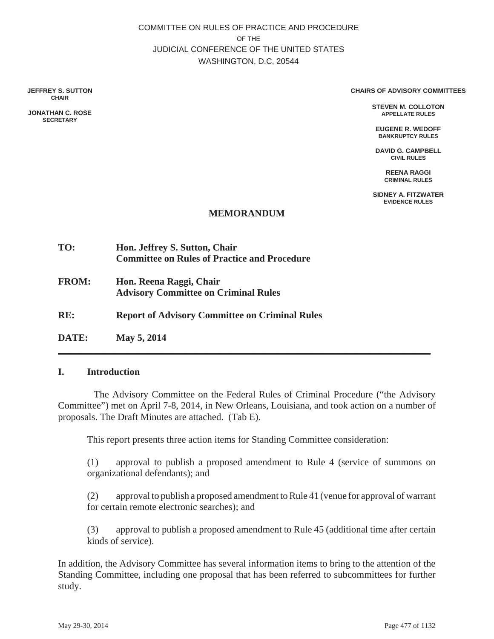COMMITTEE ON RULES OF PRACTICE AND PROCEDURE OF THE JUDICIAL CONFERENCE OF THE UNITED STATES WASHINGTON, D.C. 20544

**JEFFREY S. SUTTON CHAIR**

**JONATHAN C. ROSE SECRETARY**

#### **CHAIRS OF ADVISORY COMMITTEES**

**STEVEN M. COLLOTON APPELLATE RULES**

**EUGENE R. WEDOFF BANKRUPTCY RULES**

**DAVID G. CAMPBELL CIVIL RULES**

> **REENA RAGGI CRIMINAL RULES**

**SIDNEY A. FITZWATER EVIDENCE RULES**

#### **MEMORANDUM**

- **TO: Hon. Jeffrey S. Sutton, Chair Committee on Rules of Practice and Procedure**
- **FROM: Hon. Reena Raggi, Chair Advisory Committee on Criminal Rules**
- **RE: Report of Advisory Committee on Criminal Rules**
- **DATE: May 5, 2014**

#### **I. Introduction**

 The Advisory Committee on the Federal Rules of Criminal Procedure ("the Advisory Committee") met on April 7-8, 2014, in New Orleans, Louisiana, and took action on a number of proposals. The Draft Minutes are attached. (Tab E).

 $\mathcal{L}_\text{max}$  and  $\mathcal{L}_\text{max}$  and  $\mathcal{L}_\text{max}$  and  $\mathcal{L}_\text{max}$  and  $\mathcal{L}_\text{max}$  and  $\mathcal{L}_\text{max}$ 

This report presents three action items for Standing Committee consideration:

(1) approval to publish a proposed amendment to Rule 4 (service of summons on organizational defendants); and

(2) approval to publish a proposed amendment to Rule 41 (venue for approval of warrant for certain remote electronic searches); and

(3) approval to publish a proposed amendment to Rule 45 (additional time after certain kinds of service).

In addition, the Advisory Committee has several information items to bring to the attention of the Standing Committee, including one proposal that has been referred to subcommittees for further study.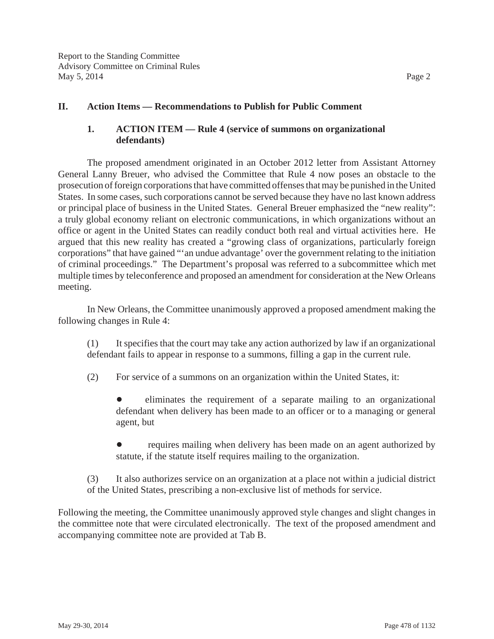## **II. Action Items — Recommendations to Publish for Public Comment**

# **1. ACTION ITEM — Rule 4 (service of summons on organizational defendants)**

The proposed amendment originated in an October 2012 letter from Assistant Attorney General Lanny Breuer, who advised the Committee that Rule 4 now poses an obstacle to the prosecution of foreign corporations that have committed offenses that may be punished in the United States. In some cases, such corporations cannot be served because they have no last known address or principal place of business in the United States. General Breuer emphasized the "new reality": a truly global economy reliant on electronic communications, in which organizations without an office or agent in the United States can readily conduct both real and virtual activities here. He argued that this new reality has created a "growing class of organizations, particularly foreign corporations" that have gained "'an undue advantage' over the government relating to the initiation of criminal proceedings." The Department's proposal was referred to a subcommittee which met multiple times by teleconference and proposed an amendment for consideration at the New Orleans meeting.

In New Orleans, the Committee unanimously approved a proposed amendment making the following changes in Rule 4:

(1) It specifies that the court may take any action authorized by law if an organizational defendant fails to appear in response to a summons, filling a gap in the current rule.

(2) For service of a summons on an organization within the United States, it:

 eliminates the requirement of a separate mailing to an organizational defendant when delivery has been made to an officer or to a managing or general agent, but

 requires mailing when delivery has been made on an agent authorized by statute, if the statute itself requires mailing to the organization.

(3) It also authorizes service on an organization at a place not within a judicial district of the United States, prescribing a non-exclusive list of methods for service.

Following the meeting, the Committee unanimously approved style changes and slight changes in the committee note that were circulated electronically. The text of the proposed amendment and accompanying committee note are provided at Tab B.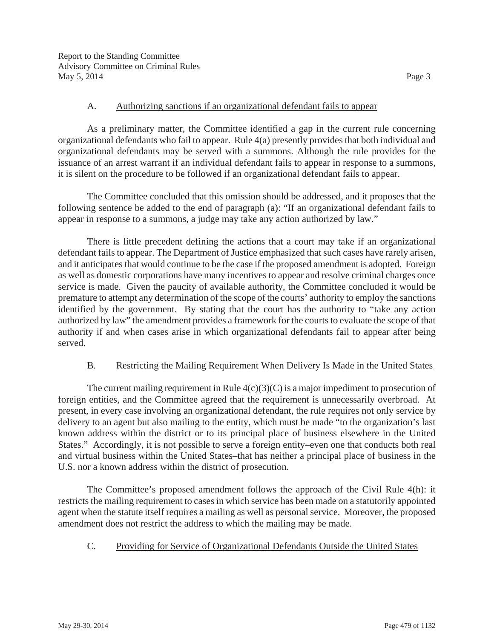#### A. Authorizing sanctions if an organizational defendant fails to appear

As a preliminary matter, the Committee identified a gap in the current rule concerning organizational defendants who fail to appear. Rule 4(a) presently provides that both individual and organizational defendants may be served with a summons. Although the rule provides for the issuance of an arrest warrant if an individual defendant fails to appear in response to a summons, it is silent on the procedure to be followed if an organizational defendant fails to appear.

The Committee concluded that this omission should be addressed, and it proposes that the following sentence be added to the end of paragraph (a): "If an organizational defendant fails to appear in response to a summons, a judge may take any action authorized by law."

There is little precedent defining the actions that a court may take if an organizational defendant fails to appear. The Department of Justice emphasized that such cases have rarely arisen, and it anticipates that would continue to be the case if the proposed amendment is adopted. Foreign as well as domestic corporations have many incentives to appear and resolve criminal charges once service is made. Given the paucity of available authority, the Committee concluded it would be premature to attempt any determination of the scope of the courts' authority to employ the sanctions identified by the government. By stating that the court has the authority to "take any action authorized by law" the amendment provides a framework for the courts to evaluate the scope of that authority if and when cases arise in which organizational defendants fail to appear after being served.

## B. Restricting the Mailing Requirement When Delivery Is Made in the United States

The current mailing requirement in Rule  $4(c)(3)(C)$  is a major impediment to prosecution of foreign entities, and the Committee agreed that the requirement is unnecessarily overbroad. At present, in every case involving an organizational defendant, the rule requires not only service by delivery to an agent but also mailing to the entity, which must be made "to the organization's last known address within the district or to its principal place of business elsewhere in the United States." Accordingly, it is not possible to serve a foreign entity–even one that conducts both real and virtual business within the United States–that has neither a principal place of business in the U.S. nor a known address within the district of prosecution.

The Committee's proposed amendment follows the approach of the Civil Rule 4(h): it restricts the mailing requirement to cases in which service has been made on a statutorily appointed agent when the statute itself requires a mailing as well as personal service. Moreover, the proposed amendment does not restrict the address to which the mailing may be made.

## C. Providing for Service of Organizational Defendants Outside the United States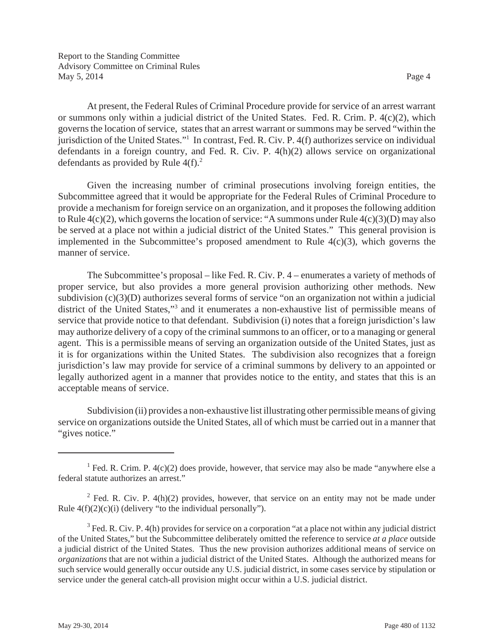At present, the Federal Rules of Criminal Procedure provide for service of an arrest warrant or summons only within a judicial district of the United States. Fed. R. Crim. P. 4(c)(2), which governs the location of service, states that an arrest warrant or summons may be served "within the jurisdiction of the United States."1 In contrast, Fed. R. Civ. P. 4(f) authorizes service on individual defendants in a foreign country, and Fed. R. Civ. P. 4(h)(2) allows service on organizational defendants as provided by Rule  $4(f)^2$ .

Given the increasing number of criminal prosecutions involving foreign entities, the Subcommittee agreed that it would be appropriate for the Federal Rules of Criminal Procedure to provide a mechanism for foreign service on an organization, and it proposes the following addition to Rule 4(c)(2), which governs the location of service: "A summons under Rule 4(c)(3)(D) may also be served at a place not within a judicial district of the United States." This general provision is implemented in the Subcommittee's proposed amendment to Rule  $4(c)(3)$ , which governs the manner of service.

The Subcommittee's proposal – like Fed. R. Civ. P. 4 – enumerates a variety of methods of proper service, but also provides a more general provision authorizing other methods. New subdivision (c)(3)(D) authorizes several forms of service "on an organization not within a judicial district of the United States,"<sup>3</sup> and it enumerates a non-exhaustive list of permissible means of service that provide notice to that defendant. Subdivision (i) notes that a foreign jurisdiction's law may authorize delivery of a copy of the criminal summons to an officer, or to a managing or general agent. This is a permissible means of serving an organization outside of the United States, just as it is for organizations within the United States. The subdivision also recognizes that a foreign jurisdiction's law may provide for service of a criminal summons by delivery to an appointed or legally authorized agent in a manner that provides notice to the entity, and states that this is an acceptable means of service.

Subdivision (ii) provides a non-exhaustive list illustrating other permissible means of giving service on organizations outside the United States, all of which must be carried out in a manner that "gives notice."

<sup>&</sup>lt;sup>1</sup> Fed. R. Crim. P.  $4(c)(2)$  does provide, however, that service may also be made "anywhere else a federal statute authorizes an arrest."

<sup>&</sup>lt;sup>2</sup> Fed. R. Civ. P. 4(h)(2) provides, however, that service on an entity may not be made under Rule  $4(f)(2)(c)(i)$  (delivery "to the individual personally").

 $3$  Fed. R. Civ. P. 4(h) provides for service on a corporation "at a place not within any judicial district of the United States," but the Subcommittee deliberately omitted the reference to service *at a place* outside a judicial district of the United States. Thus the new provision authorizes additional means of service on *organizations* that are not within a judicial district of the United States. Although the authorized means for such service would generally occur outside any U.S. judicial district, in some cases service by stipulation or service under the general catch-all provision might occur within a U.S. judicial district.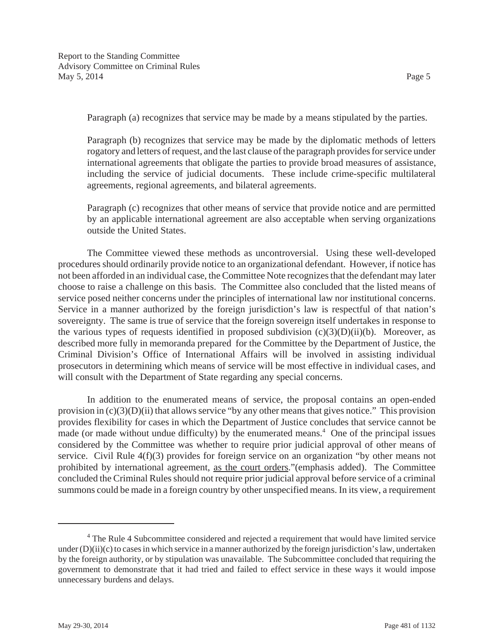Paragraph (a) recognizes that service may be made by a means stipulated by the parties.

Paragraph (b) recognizes that service may be made by the diplomatic methods of letters rogatory and letters of request, and the last clause of the paragraph provides for service under international agreements that obligate the parties to provide broad measures of assistance, including the service of judicial documents. These include crime-specific multilateral agreements, regional agreements, and bilateral agreements.

Paragraph (c) recognizes that other means of service that provide notice and are permitted by an applicable international agreement are also acceptable when serving organizations outside the United States.

The Committee viewed these methods as uncontroversial. Using these well-developed procedures should ordinarily provide notice to an organizational defendant. However, if notice has not been afforded in an individual case, the Committee Note recognizes that the defendant may later choose to raise a challenge on this basis. The Committee also concluded that the listed means of service posed neither concerns under the principles of international law nor institutional concerns. Service in a manner authorized by the foreign jurisdiction's law is respectful of that nation's sovereignty. The same is true of service that the foreign sovereign itself undertakes in response to the various types of requests identified in proposed subdivision  $(c)(3)(D)(ii)(b)$ . Moreover, as described more fully in memoranda prepared for the Committee by the Department of Justice, the Criminal Division's Office of International Affairs will be involved in assisting individual prosecutors in determining which means of service will be most effective in individual cases, and will consult with the Department of State regarding any special concerns.

In addition to the enumerated means of service, the proposal contains an open-ended provision in  $(c)(3)(D)(ii)$  that allows service "by any other means that gives notice." This provision provides flexibility for cases in which the Department of Justice concludes that service cannot be made (or made without undue difficulty) by the enumerated means.<sup>4</sup> One of the principal issues considered by the Committee was whether to require prior judicial approval of other means of service. Civil Rule 4(f)(3) provides for foreign service on an organization "by other means not prohibited by international agreement, as the court orders."(emphasis added). The Committee concluded the Criminal Rules should not require prior judicial approval before service of a criminal summons could be made in a foreign country by other unspecified means. In its view, a requirement

<sup>&</sup>lt;sup>4</sup> The Rule 4 Subcommittee considered and rejected a requirement that would have limited service under  $(D)(ii)(c)$  to cases in which service in a manner authorized by the foreign jurisdiction's law, undertaken by the foreign authority, or by stipulation was unavailable. The Subcommittee concluded that requiring the government to demonstrate that it had tried and failed to effect service in these ways it would impose unnecessary burdens and delays.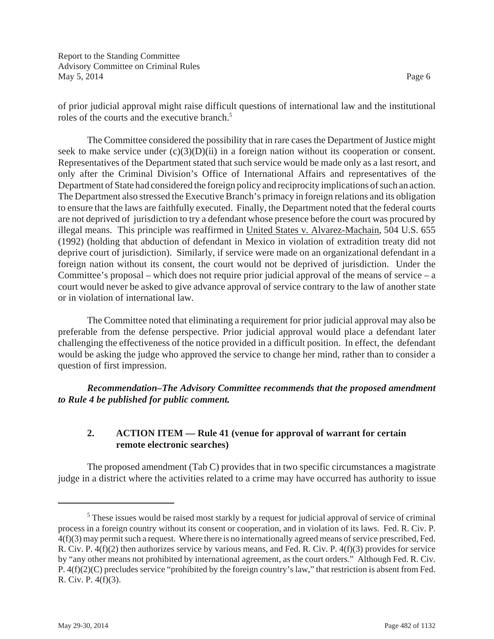of prior judicial approval might raise difficult questions of international law and the institutional roles of the courts and the executive branch.<sup>5</sup>

The Committee considered the possibility that in rare cases the Department of Justice might seek to make service under  $(c)(3)(D)(ii)$  in a foreign nation without its cooperation or consent. Representatives of the Department stated that such service would be made only as a last resort, and only after the Criminal Division's Office of International Affairs and representatives of the Department of State had considered the foreign policy and reciprocity implications of such an action. The Department also stressed the Executive Branch's primacy in foreign relations and its obligation to ensure that the laws are faithfully executed. Finally, the Department noted that the federal courts are not deprived of jurisdiction to try a defendant whose presence before the court was procured by illegal means. This principle was reaffirmed in United States v. Alvarez-Machain, 504 U.S. 655 (1992) (holding that abduction of defendant in Mexico in violation of extradition treaty did not deprive court of jurisdiction). Similarly, if service were made on an organizational defendant in a foreign nation without its consent, the court would not be deprived of jurisdiction. Under the Committee's proposal – which does not require prior judicial approval of the means of service – a court would never be asked to give advance approval of service contrary to the law of another state or in violation of international law.

The Committee noted that eliminating a requirement for prior judicial approval may also be preferable from the defense perspective. Prior judicial approval would place a defendant later challenging the effectiveness of the notice provided in a difficult position. In effect, the defendant would be asking the judge who approved the service to change her mind, rather than to consider a question of first impression.

*Recommendation–The Advisory Committee recommends that the proposed amendment to Rule 4 be published for public comment.*

## **2. ACTION ITEM — Rule 41 (venue for approval of warrant for certain remote electronic searches)**

The proposed amendment (Tab C) provides that in two specific circumstances a magistrate judge in a district where the activities related to a crime may have occurred has authority to issue

<sup>&</sup>lt;sup>5</sup> These issues would be raised most starkly by a request for judicial approval of service of criminal process in a foreign country without its consent or cooperation, and in violation of its laws. Fed. R. Civ. P. 4(f)(3) may permit such a request. Where there is no internationally agreed means of service prescribed, Fed. R. Civ. P. 4(f)(2) then authorizes service by various means, and Fed. R. Civ. P. 4(f)(3) provides for service by "any other means not prohibited by international agreement, as the court orders." Although Fed. R. Civ. P. 4(f)(2)(C) precludes service "prohibited by the foreign country's law," that restriction is absent from Fed. R. Civ. P. 4(f)(3).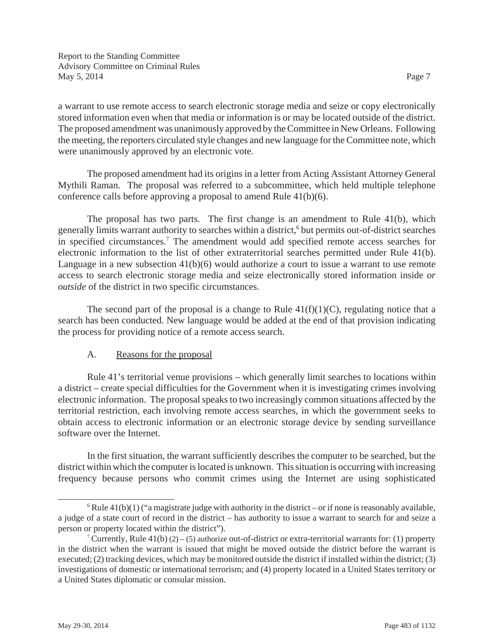a warrant to use remote access to search electronic storage media and seize or copy electronically stored information even when that media or information is or may be located outside of the district. The proposed amendment was unanimously approved by the Committee in New Orleans. Following the meeting, the reporters circulated style changes and new language for the Committee note, which were unanimously approved by an electronic vote.

The proposed amendment had its origins in a letter from Acting Assistant Attorney General Mythili Raman. The proposal was referred to a subcommittee, which held multiple telephone conference calls before approving a proposal to amend Rule 41(b)(6).

The proposal has two parts. The first change is an amendment to Rule 41(b), which generally limits warrant authority to searches within a district,<sup>6</sup> but permits out-of-district searches in specified circumstances.<sup>7</sup> The amendment would add specified remote access searches for electronic information to the list of other extraterritorial searches permitted under Rule 41(b). Language in a new subsection  $41(b)(6)$  would authorize a court to issue a warrant to use remote access to search electronic storage media and seize electronically stored information inside *or outside* of the district in two specific circumstances.

The second part of the proposal is a change to Rule  $41(f)(1)(C)$ , regulating notice that a search has been conducted. New language would be added at the end of that provision indicating the process for providing notice of a remote access search.

# A. Reasons for the proposal

Rule 41's territorial venue provisions – which generally limit searches to locations within a district – create special difficulties for the Government when it is investigating crimes involving electronic information. The proposal speaks to two increasingly common situations affected by the territorial restriction, each involving remote access searches, in which the government seeks to obtain access to electronic information or an electronic storage device by sending surveillance software over the Internet.

In the first situation, the warrant sufficiently describes the computer to be searched, but the district within which the computer is located is unknown. This situation is occurring with increasing frequency because persons who commit crimes using the Internet are using sophisticated

 $6$  Rule 41(b)(1) ("a magistrate judge with authority in the district – or if none is reasonably available, a judge of a state court of record in the district – has authority to issue a warrant to search for and seize a person or property located within the district").

<sup>&</sup>lt;sup>7</sup> Currently, Rule 41(b) (2) – (5) authorize out-of-district or extra-territorial warrants for: (1) property in the district when the warrant is issued that might be moved outside the district before the warrant is executed; (2) tracking devices, which may be monitored outside the district if installed within the district; (3) investigations of domestic or international terrorism; and (4) property located in a United States territory or a United States diplomatic or consular mission.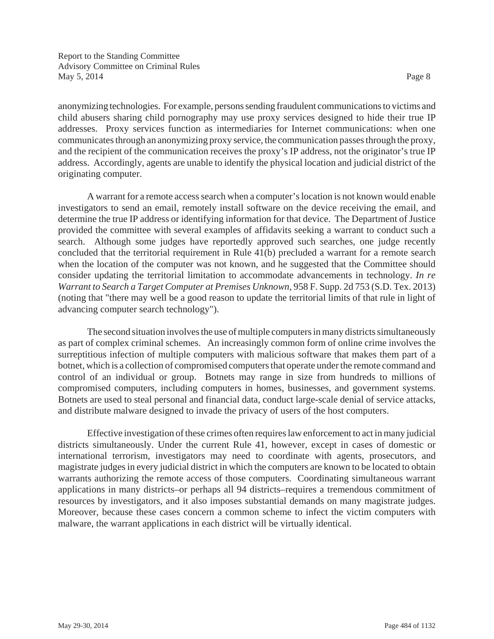anonymizing technologies. For example, persons sending fraudulent communications to victims and child abusers sharing child pornography may use proxy services designed to hide their true IP addresses. Proxy services function as intermediaries for Internet communications: when one communicates through an anonymizing proxy service, the communication passes through the proxy, and the recipient of the communication receives the proxy's IP address, not the originator's true IP address. Accordingly, agents are unable to identify the physical location and judicial district of the originating computer.

A warrant for a remote access search when a computer's location is not known would enable investigators to send an email, remotely install software on the device receiving the email, and determine the true IP address or identifying information for that device. The Department of Justice provided the committee with several examples of affidavits seeking a warrant to conduct such a search. Although some judges have reportedly approved such searches, one judge recently concluded that the territorial requirement in Rule 41(b) precluded a warrant for a remote search when the location of the computer was not known, and he suggested that the Committee should consider updating the territorial limitation to accommodate advancements in technology. *In re Warrant to Search a Target Computer at Premises Unknown*, 958 F. Supp. 2d 753 (S.D. Tex. 2013) (noting that "there may well be a good reason to update the territorial limits of that rule in light of advancing computer search technology").

The second situation involves the use of multiple computers in many districts simultaneously as part of complex criminal schemes. An increasingly common form of online crime involves the surreptitious infection of multiple computers with malicious software that makes them part of a botnet, which is a collection of compromised computers that operate under the remote command and control of an individual or group. Botnets may range in size from hundreds to millions of compromised computers, including computers in homes, businesses, and government systems. Botnets are used to steal personal and financial data, conduct large-scale denial of service attacks, and distribute malware designed to invade the privacy of users of the host computers.

Effective investigation of these crimes often requires law enforcement to act in many judicial districts simultaneously. Under the current Rule 41, however, except in cases of domestic or international terrorism, investigators may need to coordinate with agents, prosecutors, and magistrate judges in every judicial district in which the computers are known to be located to obtain warrants authorizing the remote access of those computers. Coordinating simultaneous warrant applications in many districts–or perhaps all 94 districts–requires a tremendous commitment of resources by investigators, and it also imposes substantial demands on many magistrate judges. Moreover, because these cases concern a common scheme to infect the victim computers with malware, the warrant applications in each district will be virtually identical.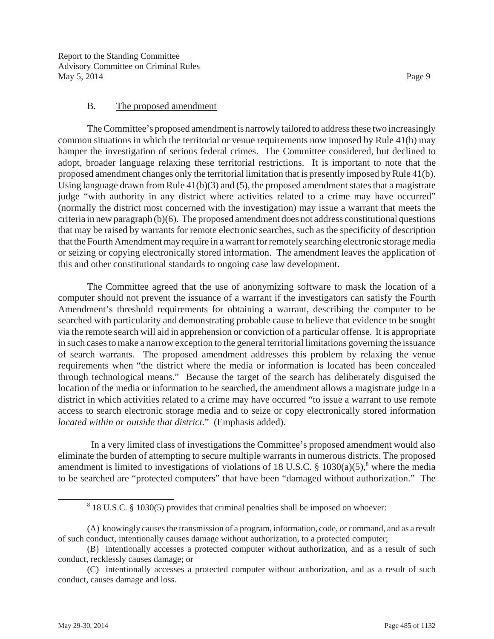#### B. The proposed amendment

The Committee's proposed amendment is narrowly tailored to address these two increasingly common situations in which the territorial or venue requirements now imposed by Rule 41(b) may hamper the investigation of serious federal crimes. The Committee considered, but declined to adopt, broader language relaxing these territorial restrictions. It is important to note that the proposed amendment changes only the territorial limitation that is presently imposed by Rule 41(b). Using language drawn from Rule 41(b)(3) and (5), the proposed amendment states that a magistrate judge "with authority in any district where activities related to a crime may have occurred" (normally the district most concerned with the investigation) may issue a warrant that meets the criteria in new paragraph (b)(6). The proposed amendment does not address constitutional questions that may be raised by warrants for remote electronic searches, such as the specificity of description that the Fourth Amendment may require in a warrant for remotely searching electronic storage media or seizing or copying electronically stored information. The amendment leaves the application of this and other constitutional standards to ongoing case law development.

The Committee agreed that the use of anonymizing software to mask the location of a computer should not prevent the issuance of a warrant if the investigators can satisfy the Fourth Amendment's threshold requirements for obtaining a warrant, describing the computer to be searched with particularity and demonstrating probable cause to believe that evidence to be sought via the remote search will aid in apprehension or conviction of a particular offense. It is appropriate in such cases to make a narrow exception to the general territorial limitations governing the issuance of search warrants. The proposed amendment addresses this problem by relaxing the venue requirements when "the district where the media or information is located has been concealed through technological means." Because the target of the search has deliberately disguised the location of the media or information to be searched, the amendment allows a magistrate judge in a district in which activities related to a crime may have occurred "to issue a warrant to use remote access to search electronic storage media and to seize or copy electronically stored information *located within or outside that district*." (Emphasis added).

 In a very limited class of investigations the Committee's proposed amendment would also eliminate the burden of attempting to secure multiple warrants in numerous districts. The proposed amendment is limited to investigations of violations of 18 U.S.C.  $\S$  1030(a)(5),<sup>8</sup> where the media to be searched are "protected computers" that have been "damaged without authorization." The

 $8$  18 U.S.C. § 1030(5) provides that criminal penalties shall be imposed on whoever:

<sup>(</sup>A) knowingly causes the transmission of a program, information, code, or command, and as a result of such conduct, intentionally causes damage without authorization, to a protected computer;

<sup>(</sup>B) intentionally accesses a protected computer without authorization, and as a result of such conduct, recklessly causes damage; or

<sup>(</sup>C) intentionally accesses a protected computer without authorization, and as a result of such conduct, causes damage and loss.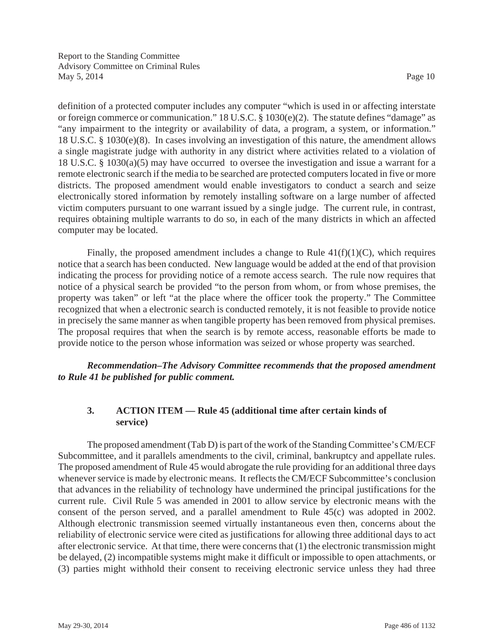definition of a protected computer includes any computer "which is used in or affecting interstate or foreign commerce or communication." 18 U.S.C. § 1030(e)(2). The statute defines "damage" as "any impairment to the integrity or availability of data, a program, a system, or information." 18 U.S.C. § 1030(e)(8). In cases involving an investigation of this nature, the amendment allows a single magistrate judge with authority in any district where activities related to a violation of 18 U.S.C. § 1030(a)(5) may have occurred to oversee the investigation and issue a warrant for a remote electronic search if the media to be searched are protected computers located in five or more districts. The proposed amendment would enable investigators to conduct a search and seize electronically stored information by remotely installing software on a large number of affected victim computers pursuant to one warrant issued by a single judge. The current rule, in contrast, requires obtaining multiple warrants to do so, in each of the many districts in which an affected computer may be located.

Finally, the proposed amendment includes a change to Rule  $41(f)(1)(C)$ , which requires notice that a search has been conducted. New language would be added at the end of that provision indicating the process for providing notice of a remote access search. The rule now requires that notice of a physical search be provided "to the person from whom, or from whose premises, the property was taken" or left "at the place where the officer took the property." The Committee recognized that when a electronic search is conducted remotely, it is not feasible to provide notice in precisely the same manner as when tangible property has been removed from physical premises. The proposal requires that when the search is by remote access, reasonable efforts be made to provide notice to the person whose information was seized or whose property was searched.

*Recommendation–The Advisory Committee recommends that the proposed amendment to Rule 41 be published for public comment.*

# **3. ACTION ITEM — Rule 45 (additional time after certain kinds of service)**

The proposed amendment (Tab D) is part of the work of the Standing Committee's CM/ECF Subcommittee, and it parallels amendments to the civil, criminal, bankruptcy and appellate rules. The proposed amendment of Rule 45 would abrogate the rule providing for an additional three days whenever service is made by electronic means. It reflects the CM/ECF Subcommittee's conclusion that advances in the reliability of technology have undermined the principal justifications for the current rule. Civil Rule 5 was amended in 2001 to allow service by electronic means with the consent of the person served, and a parallel amendment to Rule 45(c) was adopted in 2002. Although electronic transmission seemed virtually instantaneous even then, concerns about the reliability of electronic service were cited as justifications for allowing three additional days to act after electronic service. At that time, there were concerns that (1) the electronic transmission might be delayed, (2) incompatible systems might make it difficult or impossible to open attachments, or (3) parties might withhold their consent to receiving electronic service unless they had three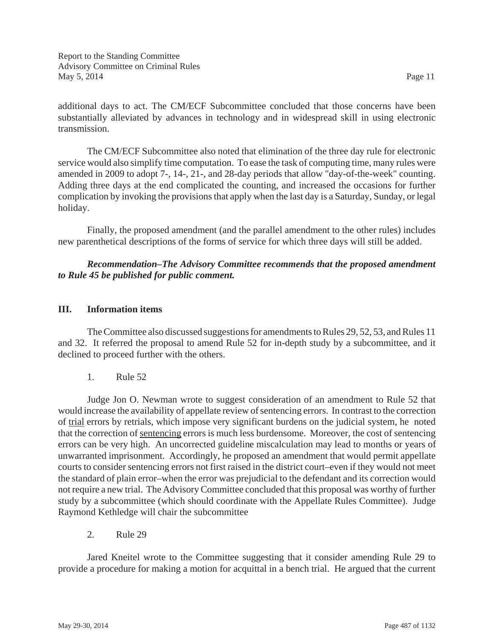additional days to act. The CM/ECF Subcommittee concluded that those concerns have been substantially alleviated by advances in technology and in widespread skill in using electronic transmission.

The CM/ECF Subcommittee also noted that elimination of the three day rule for electronic service would also simplify time computation. To ease the task of computing time, many rules were amended in 2009 to adopt 7-, 14-, 21-, and 28-day periods that allow "day-of-the-week" counting. Adding three days at the end complicated the counting, and increased the occasions for further complication by invoking the provisions that apply when the last day is a Saturday, Sunday, or legal holiday.

Finally, the proposed amendment (and the parallel amendment to the other rules) includes new parenthetical descriptions of the forms of service for which three days will still be added.

## *Recommendation–The Advisory Committee recommends that the proposed amendment to Rule 45 be published for public comment.*

## **III. Information items**

The Committee also discussed suggestions for amendments to Rules 29, 52, 53, and Rules 11 and 32. It referred the proposal to amend Rule 52 for in-depth study by a subcommittee, and it declined to proceed further with the others.

1. Rule 52

Judge Jon O. Newman wrote to suggest consideration of an amendment to Rule 52 that would increase the availability of appellate review of sentencing errors. In contrast to the correction of trial errors by retrials, which impose very significant burdens on the judicial system, he noted that the correction of sentencing errors is much less burdensome. Moreover, the cost of sentencing errors can be very high. An uncorrected guideline miscalculation may lead to months or years of unwarranted imprisonment. Accordingly, he proposed an amendment that would permit appellate courts to consider sentencing errors not first raised in the district court–even if they would not meet the standard of plain error–when the error was prejudicial to the defendant and its correction would not require a new trial. The Advisory Committee concluded that this proposal was worthy of further study by a subcommittee (which should coordinate with the Appellate Rules Committee). Judge Raymond Kethledge will chair the subcommittee

2. Rule 29

Jared Kneitel wrote to the Committee suggesting that it consider amending Rule 29 to provide a procedure for making a motion for acquittal in a bench trial. He argued that the current